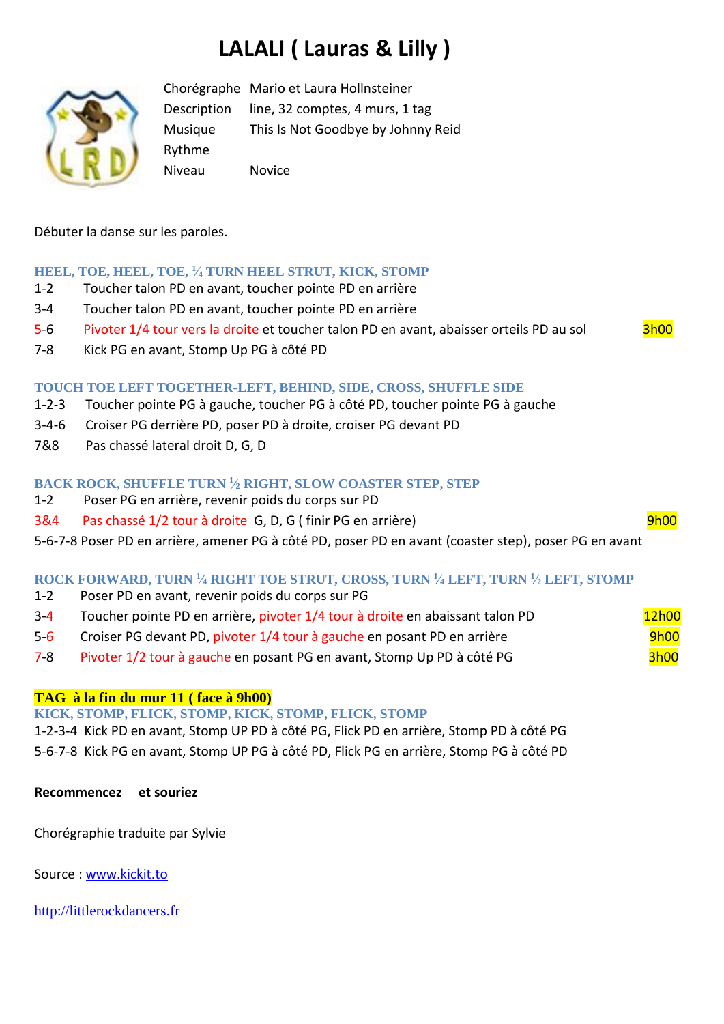# **LALALI ( Lauras & Lilly )**



Chorégraphe Mario et Laura Hollnsteiner Description line, 32 comptes, 4 murs, 1 tag Musique This Is Not Goodbye by Johnny Reid Rythme Niveau Novice

Débuter la danse sur les paroles.

# **HEEL, TOE, HEEL, TOE, <sup>1</sup> ⁄<sup>4</sup> TURN HEEL STRUT, KICK, STOMP**

- 1-2 Toucher talon PD en avant, toucher pointe PD en arrière
- 3-4 Toucher talon PD en avant, toucher pointe PD en arrière
- 5-6 Pivoter 1/4 tour vers la droite et toucher talon PD en avant, abaisser orteils PD au sol 3h00
- 7-8 Kick PG en avant, Stomp Up PG à côté PD

# **TOUCH TOE LEFT TOGETHER-LEFT, BEHIND, SIDE, CROSS, SHUFFLE SIDE**

- 1-2-3 Toucher pointe PG à gauche, toucher PG à côté PD, toucher pointe PG à gauche
- 3-4-6 Croiser PG derrière PD, poser PD à droite, croiser PG devant PD
- 7&8 Pas chassé lateral droit D, G, D

# **BACK ROCK, SHUFFLE TURN <sup>1</sup> ⁄<sup>2</sup> RIGHT, SLOW COASTER STEP, STEP**

- 1-2 Poser PG en arrière, revenir poids du corps sur PD
- 3&4 Pas chassé 1/2 tour à droite G, D, G ( finir PG en arrière) entre les productions de la phonomenation de la

5-6-7-8 Poser PD en arrière, amener PG à côté PD, poser PD en avant (coaster step), poser PG en avant

### **ROCK FORWARD, TURN <sup>1</sup> ⁄<sup>4</sup> RIGHT TOE STRUT, CROSS, TURN <sup>1</sup> ⁄<sup>4</sup> LEFT, TURN <sup>1</sup> ⁄<sup>2</sup> LEFT, STOMP**

- 1-2 Poser PD en avant, revenir poids du corps sur PG
- 3-4 Toucher pointe PD en arrière, pivoter 1/4 tour à droite en abaissant talon PD 12h00
- 5-6 Croiser PG devant PD, pivoter 1/4 tour à gauche en posant PD en arrière  $9h00$
- 7-8 Pivoter 1/2 tour à gauche en posant PG en avant, Stomp Up PD à côté PG 3h00

### **TAG à la fin du mur 11 ( face à 9h00)**

**KICK, STOMP, FLICK, STOMP, KICK, STOMP, FLICK, STOMP**

1-2-3-4 Kick PD en avant, Stomp UP PD à côté PG, Flick PD en arrière, Stomp PD à côté PG 5-6-7-8 Kick PG en avant, Stomp UP PG à côté PD, Flick PG en arrière, Stomp PG à côté PD

### **Recommencez et souriez**

Chorégraphie traduite par Sylvie

Source : [www.kickit.to](http://www.kickit.to/)

[http://littlerockdancers.fr](http://littlerockdancers.fr/)